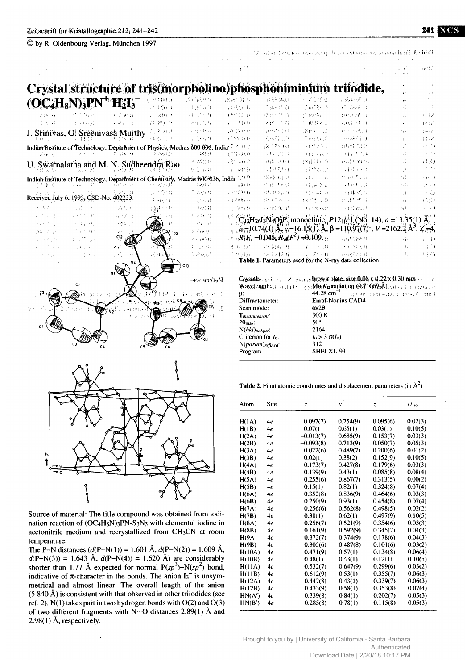| © by R. Oldenbourg Verlag, München 1997                                                               |                        |                      |                 |                                       |                             |                                                |                               | $\Omega$ is independent to the contribution of the contribution $\Omega$ and $\Omega$                                                                                                                                |              |                                  |
|-------------------------------------------------------------------------------------------------------|------------------------|----------------------|-----------------|---------------------------------------|-----------------------------|------------------------------------------------|-------------------------------|----------------------------------------------------------------------------------------------------------------------------------------------------------------------------------------------------------------------|--------------|----------------------------------|
|                                                                                                       |                        |                      |                 |                                       | 47 A                        |                                                |                               |                                                                                                                                                                                                                      | stre.        | nadi.                            |
| Crystal structure of tris(morpholino)phosphonii                                                       |                        |                      |                 |                                       |                             |                                                | unuul                         | truodide,                                                                                                                                                                                                            |              | 大豆蒜                              |
|                                                                                                       |                        |                      |                 | 计可移序                                  |                             |                                                |                               |                                                                                                                                                                                                                      | şi.          | 3 u ri<br>$\{1,1\}$              |
| $(\mathbf{OC_4H_8N})_3\mathbf{PN}^+ \mathbf{H_2H_3}$                                                  |                        |                      | 70780.0<br>计运算员 | 计连接进机                                 | 6818501.01<br>34 (CSO35)    | 机自动动电炉<br>ご追い伝道                                | 717050<br>ਦੀ ਜਾਂਦਿਨਾਂ ਜੋ      | ਦਾਨਸਤ ਸ<br>30020533                                                                                                                                                                                                  | ÷.           | Ag                               |
| 计对话网络                                                                                                 | 计可取合                   | 经实践地                 | 容認的             | $O(\epsilon$ Ka $\{j\}$               | 16351710                    | 38.0710.0                                      | हरी हवा दियत को               | 功亏物后身                                                                                                                                                                                                                | -54          | 40 M                             |
| 为 空线 样                                                                                                | rit teradis).          | 医肠主动体                | 计说明定            | 2014,60                               | 74. FS0.0                   | 1818071.4                                      | 打败坏死亡                         | (中國開発局)                                                                                                                                                                                                              | 1946         | $\mathcal{L} \times \mathcal{L}$ |
| J. Srinivas, G. Sreenivasa Murthy                                                                     |                        |                      | 抗化的球            | $\mathcal{L}(\Omega; \Omega, \Omega)$ | 64520.0                     | -050510                                        | 181657.33                     | 环境地图目                                                                                                                                                                                                                | A.           | يمنطق                            |
|                                                                                                       | 주 글을 보니                | 体积 医牙酸的 经公           | <b>GROUP</b>    | 1317029                               | 经通货权                        | 光彩绿毛                                           | 矿应功的                          | (水中安) 14)                                                                                                                                                                                                            | ήÙ,          | tt i⊠                            |
| Indian Tristitute of Technology, Department of Physics, Madras 600 036, India <sup>, Technology</sup> |                        |                      |                 |                                       |                             | (2757,230,0)                                   | (4) 北路守員                      | 1998 SG 0                                                                                                                                                                                                            | Н£           | et for                           |
| 人名马勒森顿                                                                                                | 的复数计算机 健               | ្មានស្រុក            | <b>BAPEDIE</b>  | 31,443,0                              | (5.459)                     | 经国税经权                                          | a planne                      | 月起急速                                                                                                                                                                                                                 | Цb           | (1, 1)                           |
| U. Swarnalatha and M.                                                                                 |                        | N. Sudheendra Rao    |                 | essagn                                | 72H16.3                     | $(1, 1)$ $(1, 1)$ $(1, 1)$                     | 法辩理关系                         | 商清石田户。                                                                                                                                                                                                               | γþ.          | (1)()                            |
|                                                                                                       |                        |                      |                 | 攻応 豆の                                 | 计字结块计                       | 过达孔母                                           | <b>GESTORIAL</b>              | 3334439                                                                                                                                                                                                              | Ą.           | 詳的                               |
| Indian Institute of Technology, Department of Chemistry, Madras 600 036, India <sup>n 19, 0</sup>     |                        |                      |                 |                                       |                             | ·法規時も                                          | <b>TERNES</b>                 | 计组织打印                                                                                                                                                                                                                | ٩È           | $(4 - 1)^2$                      |
| 经还银钱                                                                                                  |                        | 19951910             | 计运动机            | 不好吃过过                                 | កក្នុងស្រ                   | 线镜穿孔板                                          | stiet8.0                      | 计调制器                                                                                                                                                                                                                 | Ab.          | 92. V                            |
| doug (y th<br>Received July 6, 1995, CSD-No. 402223.                                                  | SAM 23                 | ぼ 宮沢口                | 计区联线            | 3730500                               | 计图解标员                       | 退却を行わ                                          | 经国福拉群                         | 行体不良                                                                                                                                                                                                                 | ΩĖ           | $\pm$ ( $\pm$ ).                 |
|                                                                                                       |                        |                      | - 行動をご注め        | $_{13}$ (1, 1, 1, 1)                  | 104991257                   | 计排序存取                                          | (2003)项目                      | n abhra                                                                                                                                                                                                              | Аb           | (f.3O                            |
| 计系统整理系统                                                                                               | 花ばられた                  | e Altebr             | ्रभ<br>多生を手上    | (F : 17.0.0)                          | 经转轮数                        | 平底同局                                           | 经同价值                          | 行星器の                                                                                                                                                                                                                 | чJ.          | $+750$                           |
| 医圆锥 缝                                                                                                 | 云下のほか                  | a gue <b>fatt</b> os | 3323            | 式地中性                                  |                             |                                                |                               | $C_{12}H_{26}J_3N_4O_3P_3$ monoclinic, $P_{121}/c$ (No. 14), $a = 13.35(1)$                                                                                                                                          |              | $\mathbf{A}^{(1)}$               |
| er udstrij.                                                                                           | 1224-1399              | 主任 化体体制度             |                 | 17:599.033                            |                             |                                                |                               | $b=10.74(1)$ A, c = 16.15(1), A, $\beta$ = 110.97(7)°, V = 2162.2 Å                                                                                                                                                  |              | $^{\prime}$ , Z,=4,              |
| 35,025,00                                                                                             | s Tabrian              | e këto B<br>, . CI2  |                 | 1875EC                                |                             | $R(K) = 0.045$ ; $R_{\text{w}}(F^2) = 0.109$ . |                               |                                                                                                                                                                                                                      |              |                                  |
| 上下一条的 化                                                                                               | n Pf Ge                |                      |                 | 523 AO 0<br>(2059) 0                  | 网络运送                        | 学事研究者                                          | (137773)                      | 网络学者群<br>(0.0187.50)                                                                                                                                                                                                 | عبأوي<br>χłμ | 32 IQ<br>4430                    |
| 99 - 17 11 14 15                                                                                      | al pillaga k<br>经产品 10 |                      |                 | 石铲成的                                  | f NP 日白                     | (8.0816.0)                                     | $\pm i 25 \in \Omega$         | 中央维持日                                                                                                                                                                                                                | ∴.           | 活動                               |
| 3.233731                                                                                              |                        |                      |                 |                                       |                             |                                                |                               | Table 1. Parameters used for the X-ray data collection                                                                                                                                                               |              |                                  |
|                                                                                                       | C)                     |                      |                 | Reference                             |                             |                                                |                               | Crystal: $\frac{1}{2}$ and $\frac{1}{2}$ and $\frac{1}{2}$ brown plate, size 0.08 x 0.22 x 0.30 mm and a<br>Wayelength: $\alpha$ and $\alpha$ and $\alpha$ MorKa radiation (0.71069 $\AA$ ), suggesting and research |              |                                  |
|                                                                                                       |                        |                      |                 | 用材料的 淀解反射小球                           | и:                          | Diffractometer:                                | $44.28$ cm <sup>-1</sup>      | Empt Nemine CHE (Arthorness)<br><b>Enraf-Nonius CAD4</b>                                                                                                                                                             |              |                                  |
| 封闭 机线束                                                                                                |                        |                      |                 |                                       | Scan mode:                  |                                                | $\omega/2\theta$              |                                                                                                                                                                                                                      |              |                                  |
|                                                                                                       |                        |                      |                 |                                       | $\mathbf{T}_{measuremeni:}$ |                                                | 300 K                         |                                                                                                                                                                                                                      |              |                                  |
|                                                                                                       |                        |                      |                 |                                       | $2\theta_{\text{max}}$ :    |                                                | $50^\circ$                    |                                                                                                                                                                                                                      |              |                                  |
|                                                                                                       |                        |                      |                 |                                       | $N(hkl)$ <i>unique</i> :    | Criterion for $I_0$ :                          | 2164<br>$I_0 > 3 \sigma(I_0)$ |                                                                                                                                                                                                                      |              |                                  |
|                                                                                                       |                        |                      |                 |                                       |                             | N(param)refined.                               | 312                           |                                                                                                                                                                                                                      |              |                                  |
|                                                                                                       |                        |                      |                 |                                       | Program:                    |                                                | SHELXL-93                     |                                                                                                                                                                                                                      |              |                                  |
|                                                                                                       |                        |                      |                 |                                       |                             |                                                |                               |                                                                                                                                                                                                                      |              |                                  |
|                                                                                                       |                        |                      |                 |                                       |                             |                                                |                               |                                                                                                                                                                                                                      |              |                                  |



Source of material: The title compound was obtained from iodination reaction of (OC4H<sub>8</sub>N)<sub>3</sub>PN-S<sub>3</sub>N<sub>3</sub> with elemental iodine in acetonitrile medium and recrystallized from CH3CN at room temperature.

The P–N distances  $(d(P-N(1)) = 1.601 \text{ Å}, d(P-N(2)) = 1.609 \text{ Å},$  $d(P-N(3)) = 1.643$  Å,  $d(P-N(4)) = 1.620$  Å) are considerably shorter than 1.77 Å expected for normal  $P(sp^3)$ –N $(sp^2)$  bond, indicative of  $\pi$ -character in the bonds. The anion  $I_3$ <sup>-</sup> is unsymmetrical and almost linear. The overall length of the anion  $(5.840 \text{ Å})$  is consistent with that observed in other trijodides (see ref. 2).  $N(1)$  takes part in two hydrogen bonds with  $O(2)$  and  $O(3)$ of two different fragments with  $N \cdots$ O distances 2.89(1) Å and 2.98(1) Å, respectively.

|  |  |  |  |  | <b>Table 2.</b> Final atomic coordinates and displacement parameters (in $A^2$ ) |  |  |  |  |
|--|--|--|--|--|----------------------------------------------------------------------------------|--|--|--|--|
|--|--|--|--|--|----------------------------------------------------------------------------------|--|--|--|--|

| Atom   | Site | $\boldsymbol{x}$ | y        | z        | $U$ iso |
|--------|------|------------------|----------|----------|---------|
| H(IA)  | 4e   | 0.097(7)         | 0.754(9) | 0.095(6) | 0.02(3) |
| H(1B)  | 4e   | 0.07(1)          | 0.65(1)  | 0.03(1)  | 0.10(5) |
| H(2A)  | 4e   | $-0.013(7)$      | 0.685(9) | 0.153(7) | 0.03(3) |
| H(2B)  | 4e   | $-0.093(8)$      | 0.713(9) | 0.050(7) | 0.05(3) |
| H(3A)  | 4e   | 0.022(6)         | 0.489(7) | 0.200(6) | 0.01(2) |
| H(3B)  | 4e   | $-0.02(1)$       | 0.38(2)  | 0.152(9) | 0.10(5) |
| H(4A)  | 4e   | 0.173(7)         | 0.427(8) | 0.179(6) | 0.03(3) |
| H(4B)  | 4e   | 0.139(9)         | 0.43(1)  | 0.085(8) | 0.08(4) |
| H(5A)  | 4e   | 0.255(6)         | 0.867(7) | 0.313(5) | 0.00(2) |
| H(5B)  | 4e   | 0.15(1)          | 0.82(1)  | 0.324(8) | 0.07(4) |
| H(6A)  | 4e   | 0.352(8)         | 0.836(9) | 0.464(6) | 0.03(3) |
| H(6B)  | 4e   | 0.250(9)         | 0.93(1)  | 0.454(8) | 0.07(4) |
| H(7A)  | 4e   | 0.256(6)         | 0.562(8) | 0.498(5) | 0.02(2) |
| H(7B)  | 4e   | 0.38(1)          | 0.62(1)  | 0.497(9) | 0.10(5) |
| H(SA)  | 4e   | 0.256(7)         | 0.521(9) | 0.354(6) | 0.03(3) |
| H(8B)  | 4e   | 0.161(9)         | 0.592(9) | 0.345(7) | 0.04(3) |
| H(9A)  | 4e   | 0.372(7)         | 0.374(9) | 0.178(6) | 0.04(3) |
| H(9B)  | 4e   | 0.305(6)         | 0.487(8) | 0.101(6) | 0.03(2) |
| H(10A) | 4e   | 0.471(9)         | 0.57(1)  | 0.134(8) | 0.06(4) |
| H(10B) | 4e   | 0.48(1)          | 0.43(1)  | 0.12(1)  | 0.10(5) |
| H(11A) | 4e   | 0.532(7)         | 0.647(9) | 0.299(6) | 0.03(2) |
| H(11B) | 4e   | 0.612(9)         | 0.53(1)  | 0.355(7) | 0.06(3) |
| H(12A) | 4e   | 0.447(8)         | 0.43(1)  | 0.339(7) | 0.06(3) |
| H(12B) | 4e   | 0.433(9)         | 0.58(1)  | 0.353(8) | 0.07(4) |
| HN(A') | 4e   | 0.339(8)         | 0.84(1)  | 0.202(7) | 0.05(3) |
| HN(B') | 4e   | 0.285(8)         | 0.78(1)  | 0.115(8) | 0.05(3) |

Brought to you by | University of California - Santa Barbara Authenticated Download Date | 2/20/18 10:17 PM